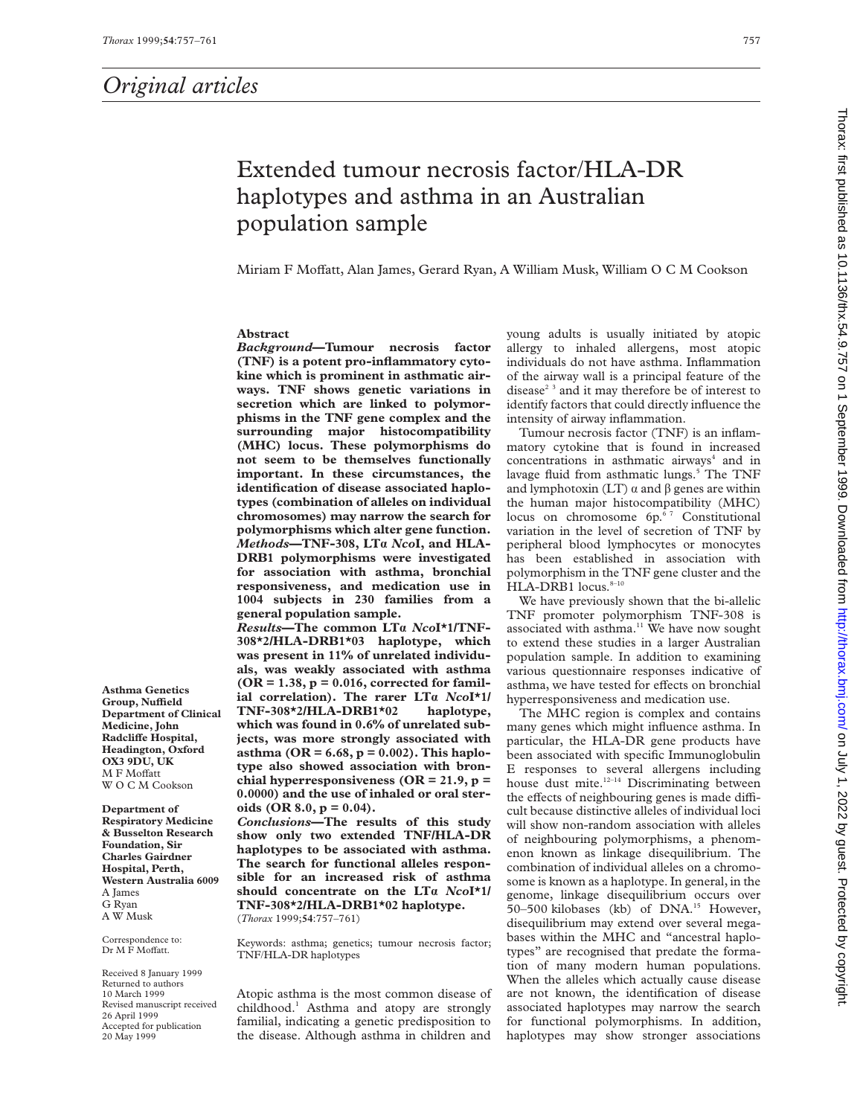# Extended tumour necrosis factor/HLA-DR haplotypes and asthma in an Australian population sample

Miriam F Moffatt, Alan James, Gerard Ryan, A William Musk, William O C M Cookson

# **Abstract**

*Background***—Tumour necrosis factor (TNF) is a potent pro-inflammatory cytokine which is prominent in asthmatic airways. TNF shows genetic variations in secretion which are linked to polymorphisms in the TNF gene complex and the surrounding major histocompatibility (MHC) locus. These polymorphisms do not seem to be themselves functionally important. In these circumstances, the identification of disease associated haplotypes (combination of alleles on individual chromosomes) may narrow the search for polymorphisms which alter gene function.** *Methods***—TNF-308, LTá** *Nco***I, and HLA-DRB1 polymorphisms were investigated for association with asthma, bronchial responsiveness, and medication use in 1004 subjects in 230 families from a general population sample.**

*Results***—The common LTá** *Nco***I\*1/TNF-308\*2/HLA-DRB1\*03 haplotype, which was present in 11% of unrelated individuals, was weakly associated with asthma (OR = 1.38, p = 0.016, corrected for familial correlation). The rarer LTá** *Nco***I\*1/ TNF-308\*2/HLA-DRB1\*02 which was found in 0.6% of unrelated subjects, was more strongly associated with asthma (OR = 6.68, p = 0.002). This haplotype also showed association with bronchial hyperresponsiveness (OR = 21.9, p = 0.0000) and the use of inhaled or oral steroids (OR 8.0, p = 0.04).**

*Conclusions***—The results of this study show only two extended TNF/HLA-DR haplotypes to be associated with asthma. The search for functional alleles responsible for an increased risk of asthma should concentrate on the LTá** *Nco***I\*1/ TNF-308\*2/HLA-DRB1\*02 haplotype.** (*Thorax* 1999;**54**:757–761)

Keywords: asthma; genetics; tumour necrosis factor; TNF/HLA-DR haplotypes

Atopic asthma is the most common disease of childhood.<sup>1</sup> Asthma and atopy are strongly familial, indicating a genetic predisposition to the disease. Although asthma in children and

young adults is usually initiated by atopic allergy to inhaled allergens, most atopic individuals do not have asthma. Inflammation of the airway wall is a principal feature of the disease<sup> $2<sup>3</sup>$  and it may therefore be of interest to</sup> identify factors that could directly influence the intensity of airway inflammation.

Tumour necrosis factor (TNF) is an inflammatory cytokine that is found in increased concentrations in asthmatic airways $4$  and in lavage fluid from asthmatic lungs.<sup>5</sup> The TNF and lymphotoxin (LT)  $\alpha$  and  $\beta$  genes are within the human major histocompatibility (MHC) locus on chromosome 6p.<sup>67</sup> Constitutional variation in the level of secretion of TNF by peripheral blood lymphocytes or monocytes has been established in association with polymorphism in the TNF gene cluster and the  $HLA-DRB1$  locus. $8-10$ 

We have previously shown that the bi-allelic TNF promoter polymorphism TNF-308 is associated with asthma.<sup>11</sup> We have now sought to extend these studies in a larger Australian population sample. In addition to examining various questionnaire responses indicative of asthma, we have tested for effects on bronchial hyperresponsiveness and medication use.

The MHC region is complex and contains many genes which might influence asthma. In particular, the HLA-DR gene products have been associated with specific Immunoglobulin E responses to several allergens including house dust mite.<sup>12-14</sup> Discriminating between the effects of neighbouring genes is made difficult because distinctive alleles of individual loci will show non-random association with alleles of neighbouring polymorphisms, a phenomenon known as linkage disequilibrium. The combination of individual alleles on a chromosome is known as a haplotype. In general, in the genome, linkage disequilibrium occurs over 50–500 kilobases (kb) of DNA.<sup>15</sup> However, disequilibrium may extend over several megabases within the MHC and "ancestral haplotypes" are recognised that predate the formation of many modern human populations. When the alleles which actually cause disease are not known, the identification of disease associated haplotypes may narrow the search for functional polymorphisms. In addition, haplotypes may show stronger associations

**Asthma Genetics Group, NuYeld Department of Clinical Medicine, John RadcliVe Hospital, Headington, Oxford OX3 9DU, UK M F Moffatt** WOCM Cookson

**Department of Respiratory Medicine & Busselton Research Foundation, Sir Charles Gairdner Hospital, Perth, Western Australia 6009** A James G Ryan A W Musk

Correspondence to: Dr M F Moffatt.

Received 8 January 1999 Returned to authors 10 March 1999 Revised manuscript received 26 April 1999 Accepted for publication 20 May 1999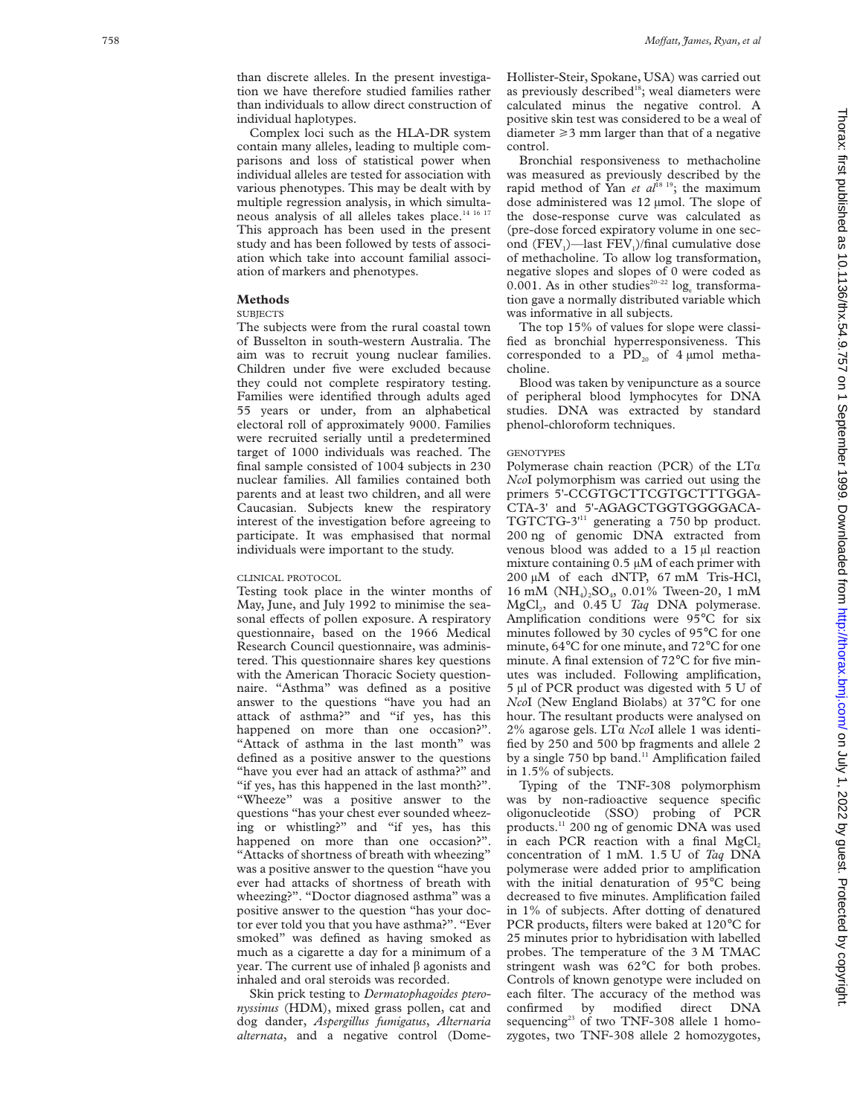than discrete alleles. In the present investigation we have therefore studied families rather than individuals to allow direct construction of individual haplotypes.

Complex loci such as the HLA-DR system contain many alleles, leading to multiple comparisons and loss of statistical power when individual alleles are tested for association with various phenotypes. This may be dealt with by multiple regression analysis, in which simultaneous analysis of all alleles takes place.<sup>14 16 17</sup> This approach has been used in the present study and has been followed by tests of association which take into account familial association of markers and phenotypes.

#### **Methods**

# **SUBJECTS**

The subjects were from the rural coastal town of Busselton in south-western Australia. The aim was to recruit young nuclear families. Children under five were excluded because they could not complete respiratory testing. Families were identified through adults aged 55 years or under, from an alphabetical electoral roll of approximately 9000. Families were recruited serially until a predetermined target of 1000 individuals was reached. The final sample consisted of 1004 subjects in 230 nuclear families. All families contained both parents and at least two children, and all were Caucasian. Subjects knew the respiratory interest of the investigation before agreeing to participate. It was emphasised that normal individuals were important to the study.

# CLINICAL PROTOCOL

Testing took place in the winter months of May, June, and July 1992 to minimise the seasonal effects of pollen exposure. A respiratory questionnaire, based on the 1966 Medical Research Council questionnaire, was administered. This questionnaire shares key questions with the American Thoracic Society questionnaire. "Asthma" was defined as a positive answer to the questions "have you had an attack of asthma?" and "if yes, has this happened on more than one occasion?". "Attack of asthma in the last month" was defined as a positive answer to the questions "have you ever had an attack of asthma?" and "if yes, has this happened in the last month?". "Wheeze" was a positive answer to the questions "has your chest ever sounded wheezing or whistling?" and "if yes, has this happened on more than one occasion?" "Attacks of shortness of breath with wheezing" was a positive answer to the question "have you ever had attacks of shortness of breath with wheezing?". "Doctor diagnosed asthma" was a positive answer to the question "has your doctor ever told you that you have asthma?". "Ever smoked" was defined as having smoked as much as a cigarette a day for a minimum of a year. The current use of inhaled â agonists and inhaled and oral steroids was recorded.

Skin prick testing to *Dermatophagoides pteronyssinus* (HDM), mixed grass pollen, cat and dog dander, *Aspergillus fumigatus* , *Alternaria alternata*, and a negative control (DomeHollister-Steir, Spokane, USA) was carried out as previously described<sup>18</sup>; weal diameters were calculated minus the negative control. A positive skin test was considered to be a weal of diameter >3 mm larger than that of a negative control.

Bronchial responsiveness to methacholine was measured as previously described by the rapid method of Yan *et al*<sup>18 19</sup>; the maximum dose administered was 12 µmol. The slope of the dose-response curve was calculated as (pre-dose forced expiratory volume in one second  $(FEV_1)$ —last  $FEV_1$ /final cumulative dose of methacholine. To allow log transformation, negative slopes and slopes of 0 were coded as 0.001. As in other studies<sup>20-22</sup>  $log_e$  transformation gave a normally distributed variable which was informative in all subjects.

The top 15% of values for slope were classified as bronchial hyperresponsiveness. This corresponded to a  $PD_{20}$  of 4 µmol methacholine.

Blood was taken by venipuncture as a source of peripheral blood lymphocytes for DNA studies. DNA was extracted by standard phenol-chloroform techniques.

## **GENOTYPES**

Polymerase chain reaction (PCR) of the LTa *Nco*I polymorphism was carried out using the primers 5'-CCGTGCTTCGTGCTTTGGA-CTA-3' and 5'-AGAGCTGGTGGGGACA-TGTCTG-3'11 generating a 750 bp product. 200 ng of genomic DNA extracted from venous blood was added to a 15 µl reaction mixture containing 0.5 µM of each primer with 200 µM of each dNTP, 67 mM Tris-HCl, 16 mM (NH 4 ) 2SO 4, 0.01% Tween-20, 1 mM MgCl 2, and 0.45 U *Taq* DNA polymerase. Amplification conditions were 95 °C for six minutes followed by 30 cycles of 95 °C for one minute, 64 °C for one minute, and 72 °C for one minute. A final extension of 72°C for five minutes was included. Following amplification, 5 µl of PCR product was digested with 5 U of *Nco*I (New England Biolabs) at 37 °C for one hour. The resultant products were analysed on 2% agarose gels. LT á *Nco*I allele 1 was identified by 250 and 500 bp fragments and allele 2 by a single 750 bp band.<sup>11</sup> Amplification failed in 1.5% of subjects.

Typing of the TNF-308 polymorphism was by non-radioactive sequence specific oligonucleotide (SSO) probing of PCR products.<sup>11</sup> 200 ng of genomic DNA was used in each PCR reaction with a final  $MgCl<sub>2</sub>$ concentration of 1 mM. 1.5 U of *Taq* DNA polymerase were added prior to amplification with the initial denaturation of 95 °C being decreased to five minutes. Amplification failed in 1% of subjects. After dotting of denatured PCR products, filters were baked at 120 °C for 25 minutes prior to hybridisation with labelled probes. The temperature of the 3 M TMAC stringent wash was 62 °C for both probes. Controls of known genotype were included on each filter. The accuracy of the method was confirmed by modified direct DNA sequencing<sup>23</sup> of two TNF-308 allele 1 homozygotes, two TNF-308 allele 2 homozygotes,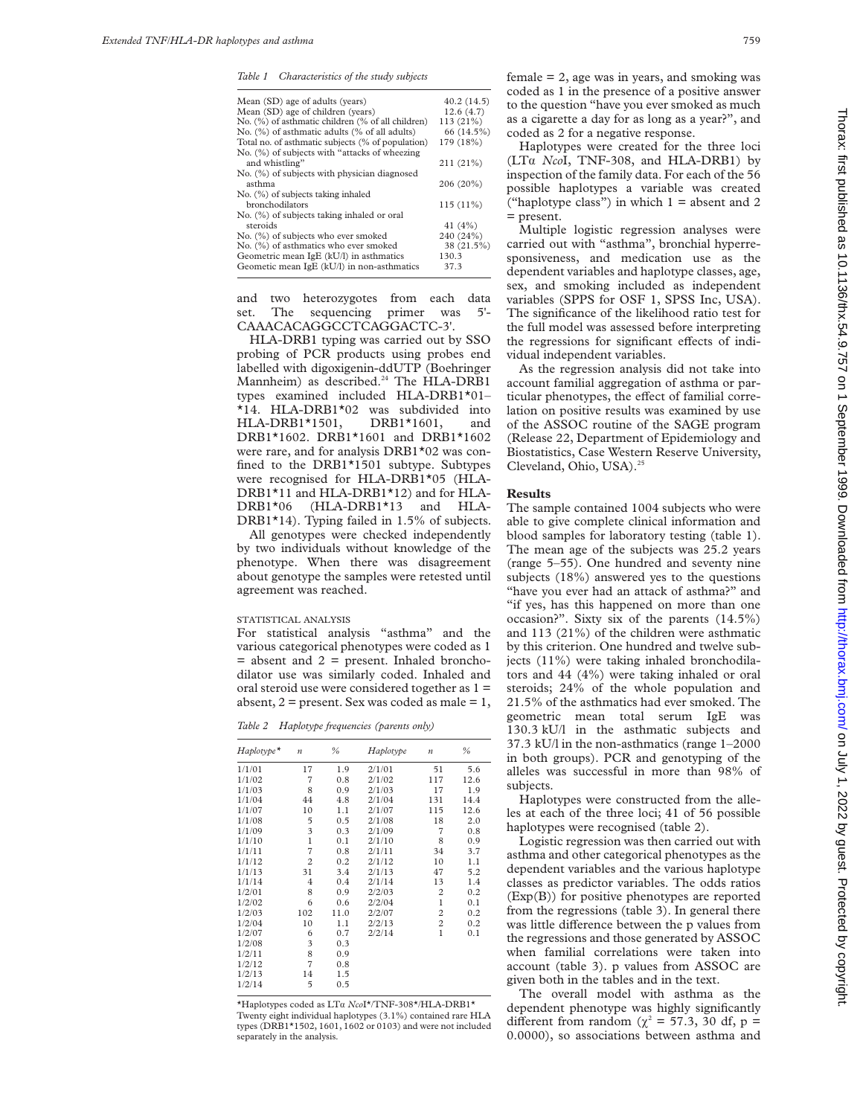*Table 1 Characteristics of the study subjects*

| Mean (SD) age of adults (years)                   | 40.2(14.5)  |
|---------------------------------------------------|-------------|
| Mean (SD) age of children (years)                 | 12.6(4.7)   |
| No. (%) of asthmatic children (% of all children) | $113(21\%)$ |
| No. (%) of asthmatic adults (% of all adults)     | 66 (14.5%)  |
| Total no. of asthmatic subjects (% of population) | 179 (18%)   |
| No. (%) of subjects with "attacks of wheezing     |             |
| and whistling"                                    | $211(21\%)$ |
| No. (%) of subjects with physician diagnosed      |             |
| asthma                                            | 206 (20%)   |
| No. (%) of subjects taking inhaled                |             |
| bronchodilators                                   | $115(11\%)$ |
| No. (%) of subjects taking inhaled or oral        |             |
| steroids                                          | 41 $(4%)$   |
| No. (%) of subjects who ever smoked               | 240 (24%)   |
| No. (%) of asthmatics who ever smoked             | 38 (21.5%)  |
| Geometric mean IgE (kU/l) in asthmatics           | 130.3       |
| Geometic mean IgE (kU/l) in non-asthmatics        | 37.3        |
|                                                   |             |

and two heterozygotes from each data set. The sequencing primer was 5'- CAAACACAGGCCTCAGGACTC-3'.

HLA-DRB1 typing was carried out by SSO probing of PCR products using probes end labelled with digoxigenin-ddUTP (Boehringer Mannheim) as described.<sup>24</sup> The HLA-DRB1 types examined included HLA-DRB1\*01– \*14. HLA-DRB1\*02 was subdivided into HLA-DRB1\*1501, DRB1\*1601, and DRB1\*1602. DRB1\*1601 and DRB1\*1602 were rare, and for analysis DRB1\*02 was confined to the DRB1\*1501 subtype. Subtypes were recognised for HLA-DRB1\*05 (HLA-DRB1\*11 and HLA-DRB1\*12) and for HLA-DRB1\*06 (HLA-DRB1\*13 and HLA-DRB1\*14). Typing failed in 1.5% of subjects.

All genotypes were checked independently by two individuals without knowledge of the phenotype. When there was disagreement about genotype the samples were retested until agreement was reached.

#### STATISTICAL ANALYSIS

For statistical analysis "asthma" and the various categorical phenotypes were coded as 1  $=$  absent and  $2 =$  present. Inhaled bronchodilator use was similarly coded. Inhaled and oral steroid use were considered together as 1 = absent,  $2$  = present. Sex was coded as male = 1,

*Table 2 Haplotype frequencies (parents only)*

| $Haplotype*$ | $\boldsymbol{n}$ | $\frac{9}{6}$ | Haplotype | $\boldsymbol{n}$ | $\frac{0}{0}$ |
|--------------|------------------|---------------|-----------|------------------|---------------|
| 1/1/01       | 17               | 1.9           | 2/1/01    | 51               | 5.6           |
| 1/1/02       | 7                | 0.8           | 2/1/02    | 117              | 12.6          |
| 1/1/03       | 8                | 0.9           | 2/1/03    | 17               | 1.9           |
| 1/1/04       | 44               | 4.8           | 2/1/04    | 131              | 14.4          |
| 1/1/07       | 10               | 1.1           | 2/1/07    | 115              | 12.6          |
| 1/1/08       | 5                | 0.5           | 2/1/08    | 18               | 2.0           |
| 1/1/09       | 3                | 0.3           | 2/1/09    | $\overline{7}$   | 0.8           |
| 1/1/10       | $\mathbf{1}$     | 0.1           | 2/1/10    | 8                | 0.9           |
| 1/1/11       | 7                | 0.8           | 2/1/11    | 34               | 3.7           |
| 1/1/12       | $\overline{2}$   | 0.2           | 2/1/12    | 10               | 1.1           |
| 1/1/13       | 31               | 3.4           | 2/1/13    | 47               | 5.2           |
| 1/1/14       | 4                | 0.4           | 2/1/14    | 13               | 1.4           |
| 1/2/01       | 8                | 0.9           | 2/2/03    | $\overline{2}$   | 0.2           |
| 1/2/02       | 6                | 0.6           | 2/2/04    | $\mathbf{1}$     | 0.1           |
| 1/2/03       | 102              | 11.0          | 2/2/07    | $\overline{c}$   | 0.2           |
| 1/2/04       | 10               | 1.1           | 2/2/13    | $\overline{c}$   | 0.2           |
| 1/2/07       | 6                | 0.7           | 2/2/14    | $\mathbf{1}$     | 0.1           |
| 1/2/08       | 3                | 0.3           |           |                  |               |
| 1/2/11       | 8                | 0.9           |           |                  |               |
| 1/2/12       | 7                | 0.8           |           |                  |               |
| 1/2/13       | 14               | 1.5           |           |                  |               |
| 1/2/14       | 5                | 0.5           |           |                  |               |

\*Haplotypes coded as LTá *Nco*I\*/TNF-308\*/HLA-DRB1\* Twenty eight individual haplotypes (3.1%) contained rare HLA types (DRB1\*1502, 1601, 1602 or 0103) and were not included separately in the analysis.

 $f$ female = 2, age was in years, and smoking was coded as 1 in the presence of a positive answer to the question "have you ever smoked as much as a cigarette a day for as long as a year?", and coded as 2 for a negative response.

Haplotypes were created for the three loci (LTá *Nco*I, TNF-308, and HLA-DRB1) by inspection of the family data. For each of the 56 possible haplotypes a variable was created ("haplotype class") in which  $1 =$  absent and 2 = present.

Multiple logistic regression analyses were carried out with "asthma", bronchial hyperresponsiveness, and medication use as the dependent variables and haplotype classes, age, sex, and smoking included as independent variables (SPPS for OSF 1, SPSS Inc, USA). The significance of the likelihood ratio test for the full model was assessed before interpreting the regressions for significant effects of individual independent variables.

As the regression analysis did not take into account familial aggregation of asthma or particular phenotypes, the effect of familial correlation on positive results was examined by use of the ASSOC routine of the SAGE program (Release 22, Department of Epidemiology and Biostatistics, Case Western Reserve University, Cleveland, Ohio, USA).<sup>25</sup>

## **Results**

The sample contained 1004 subjects who were able to give complete clinical information and blood samples for laboratory testing (table 1). The mean age of the subjects was 25.2 years (range 5–55). One hundred and seventy nine subjects (18%) answered yes to the questions "have you ever had an attack of asthma?" and "if yes, has this happened on more than one occasion?". Sixty six of the parents (14.5%) and 113 (21%) of the children were asthmatic by this criterion. One hundred and twelve subjects (11%) were taking inhaled bronchodilators and 44 (4%) were taking inhaled or oral steroids; 24% of the whole population and 21.5% of the asthmatics had ever smoked. The geometric mean total serum IgE was 130.3 kU/l in the asthmatic subjects and 37.3 kU/l in the non-asthmatics (range 1–2000 in both groups). PCR and genotyping of the alleles was successful in more than 98% of subjects.

Haplotypes were constructed from the alleles at each of the three loci; 41 of 56 possible haplotypes were recognised (table 2).

Logistic regression was then carried out with asthma and other categorical phenotypes as the dependent variables and the various haplotype classes as predictor variables. The odds ratios (Exp(B)) for positive phenotypes are reported from the regressions (table 3). In general there was little difference between the p values from the regressions and those generated by ASSOC when familial correlations were taken into account (table 3). p values from ASSOC are given both in the tables and in the text.

The overall model with asthma as the dependent phenotype was highly significantly different from random ( $\chi^2$  = 57.3, 30 df, p = 0.0000), so associations between asthma and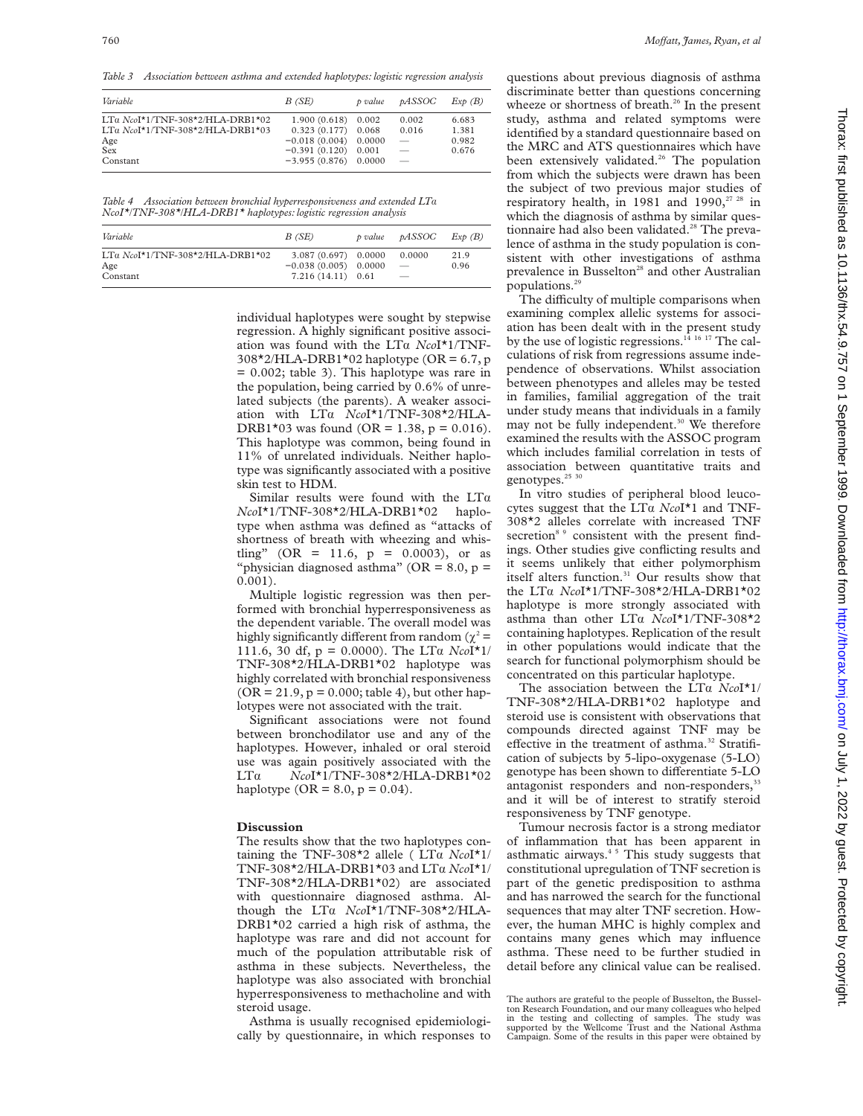*Table 3 Association between asthma and extended haplotypes: logistic regression analysis*

| Variable                           | B(SE)                | p value | pASSOC                          | Exp(B) |
|------------------------------------|----------------------|---------|---------------------------------|--------|
| LTa $NcoI*1/TNF-308*2/HLA-DRB1*02$ | $1.900(0.618)$ 0.002 |         | 0.002                           | 6.683  |
| LTa $NcoI*1/TNF-308*2/HLA-DRB1*03$ | 0.323(0.177)         | 0.068   | 0.016                           | 1.381  |
| Age                                | $-0.018(0.004)$      | 0.0000  | $\overline{\phantom{m}}$        | 0.982  |
| Sex                                | $-0.391(0.120)$      | 0.001   | $\hspace{0.1mm}-\hspace{0.1mm}$ | 0.676  |
| Constant                           | $-3.955(0.876)$      | 0.0000  |                                 |        |

*Table 4 Association between bronchial hyperresponsiveness and extended LT*á *NcoI\*/TNF-308\*/HLA-DRB1\* haplotypes: logistic regression analysis*

| Variable                                                 | B(SE)                                                                  | p value | <i><b>DASSOC</b></i>                                                  | Exp(B)       |
|----------------------------------------------------------|------------------------------------------------------------------------|---------|-----------------------------------------------------------------------|--------------|
| $LTa$ $NcoI*1/TNF-308*2/HI.A-DRB1*02$<br>Age<br>Constant | $3.087(0.697)$ 0.0000<br>$-0.038(0.005)$ 0.0000<br>$7.216(14.11)$ 0.61 |         | 0.0000<br>$\overline{\phantom{a}}$<br>$\hspace{0.1mm}-\hspace{0.1mm}$ | 21.9<br>0.96 |

individual haplotypes were sought by stepwise regression. A highly significant positive association was found with the LTa *NcoI*<sup>\*</sup>1/TNF- $308*2/HLA-DRB1*02$  haplotype (OR = 6.7, p = 0.002; table 3). This haplotype was rare in the population, being carried by 0.6% of unrelated subjects (the parents). A weaker association with LTa  $NcoI^{\star}1/\text{TNF-308\text{*}2/\text{HLA-}}$ DRB1\*03 was found (OR = 1.38, p = 0.016). This haplotype was common, being found in 11% of unrelated individuals. Neither haplotype was significantly associated with a positive skin test to HDM.

Similar results were found with the  $LT\alpha$ *Nco*I\*1/TNF-308\*2/HLA-DRB1\*02 haplotype when asthma was defined as "attacks of shortness of breath with wheezing and whistling" (OR = 11.6,  $p = 0.0003$ ), or as "physician diagnosed asthma" ( $OR = 8.0$ ,  $p =$ 0.001).

Multiple logistic regression was then performed with bronchial hyperresponsiveness as the dependent variable. The overall model was highly significantly different from random ( $\gamma^2$  = 111.6, 30 df,  $p = 0.0000$ ). The LT $\alpha$  *Nco*I<sup>\*</sup>1/ TNF-308\*2/HLA-DRB1\*02 haplotype was highly correlated with bronchial responsiveness  $(OR = 21.9, p = 0.000;$  table 4), but other haplotypes were not associated with the trait.

Significant associations were not found between bronchodilator use and any of the haplotypes. However, inhaled or oral steroid use was again positively associated with the LTá *Nco*I\*1/TNF-308\*2/HLA-DRB1\*02 haplotype ( $OR = 8.0$ ,  $p = 0.04$ ).

#### **Discussion**

The results show that the two haplotypes containing the TNF-308<sup>\*</sup>2 allele (LT $\alpha$  *NcoI*<sup>\*</sup>1/ TNF-308\*2/HLA-DRB1\*03 and LTá *Nco*I\*1/ TNF-308\*2/HLA-DRB1\*02) are associated with questionnaire diagnosed asthma. Although the LTá *Nco*I\*1/TNF-308\*2/HLA-DRB1\*02 carried a high risk of asthma, the haplotype was rare and did not account for much of the population attributable risk of asthma in these subjects. Nevertheless, the haplotype was also associated with bronchial hyperresponsiveness to methacholine and with steroid usage.

Asthma is usually recognised epidemiologically by questionnaire, in which responses to

questions about previous diagnosis of asthma discriminate better than questions concerning wheeze or shortness of breath.<sup>26</sup> In the present study, asthma and related symptoms were identified by a standard questionnaire based on the MRC and ATS questionnaires which have been extensively validated.<sup>26</sup> The population from which the subjects were drawn has been the subject of two previous major studies of respiratory health, in 1981 and 1990,<sup>27 28</sup> in which the diagnosis of asthma by similar questionnaire had also been validated.<sup>28</sup> The prevalence of asthma in the study population is consistent with other investigations of asthma prevalence in Busselton<sup>28</sup> and other Australian populations.29

The difficulty of multiple comparisons when examining complex allelic systems for association has been dealt with in the present study by the use of logistic regressions.<sup>14</sup> <sup>16</sup> <sup>17</sup> The calculations of risk from regressions assume independence of observations. Whilst association between phenotypes and alleles may be tested in families, familial aggregation of the trait under study means that individuals in a family may not be fully independent.<sup>30</sup> We therefore examined the results with the ASSOC program which includes familial correlation in tests of association between quantitative traits and genotypes.<sup>25</sup> 30

In vitro studies of peripheral blood leucocytes suggest that the LTá *Nco*I\*1 and TNF-308\*2 alleles correlate with increased TNF secretion<sup>8</sup> <sup>9</sup> consistent with the present findings. Other studies give conflicting results and it seems unlikely that either polymorphism itself alters function.<sup>31</sup> Our results show that the LTá *Nco*I\*1/TNF-308\*2/HLA-DRB1\*02 haplotype is more strongly associated with asthma than other LTa *NcoI*\*1/TNF-308\*2 containing haplotypes. Replication of the result in other populations would indicate that the search for functional polymorphism should be concentrated on this particular haplotype.

The association between the LTa *NcoI*<sup>\*1</sup>/ TNF-308\*2/HLA-DRB1\*02 haplotype and steroid use is consistent with observations that compounds directed against TNF may be effective in the treatment of asthma.<sup>32</sup> Stratification of subjects by 5-lipo-oxygenase (5-LO) genotype has been shown to differentiate 5-LO antagonist responders and non-responders,<sup>33</sup> and it will be of interest to stratify steroid responsiveness by TNF genotype.

Tumour necrosis factor is a strong mediator of inflammation that has been apparent in asthmatic airways. $45$  This study suggests that constitutional upregulation of TNF secretion is part of the genetic predisposition to asthma and has narrowed the search for the functional sequences that may alter TNF secretion. However, the human MHC is highly complex and contains many genes which may influence asthma. These need to be further studied in detail before any clinical value can be realised.

The authors are grateful to the people of Busselton, the Busselton Research Foundation, and our many colleagues who helped in the testing and collecting of samples. The study was supported by the Wellcome Trust and the National Asthma Campaign. Some of the results in this paper were obtained by